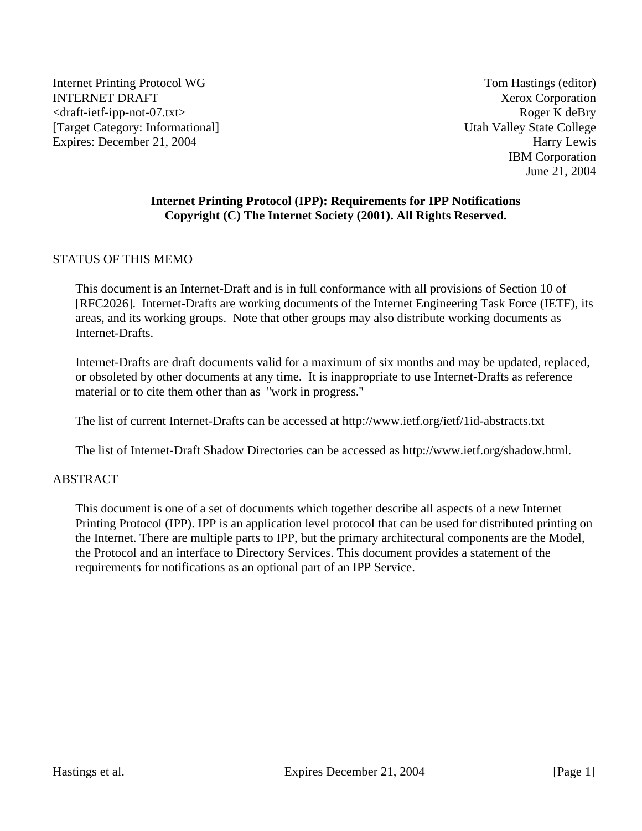Internet Printing Protocol WG Tom Hastings (editor) INTERNET DRAFT NET ALL THE SERVICE OF THE SERVICE OF THE SERVICE OF THE SERVICE OF THE SERVICE OF THE SERVICE OF THE SERVICE OF THE SERVICE OF THE SERVICE OF THE SERVICE OF THE SERVICE OF THE SERVICE OF THE SERVICE OF THE <draft-ietf-ipp-not-07.txt> Roger K deBry [Target Category: Informational] Utah Valley State College Expires: December 21, 2004 Harry Lewis

IBM Corporation June 21, 2004

## **Internet Printing Protocol (IPP): Requirements for IPP Notifications Copyright (C) The Internet Society (2001). All Rights Reserved.**

#### STATUS OF THIS MEMO

This document is an Internet-Draft and is in full conformance with all provisions of Section 10 of [RFC2026]. Internet-Drafts are working documents of the Internet Engineering Task Force (IETF), its areas, and its working groups. Note that other groups may also distribute working documents as Internet-Drafts.

Internet-Drafts are draft documents valid for a maximum of six months and may be updated, replaced, or obsoleted by other documents at any time. It is inappropriate to use Internet-Drafts as reference material or to cite them other than as ''work in progress.''

The list of current Internet-Drafts can be accessed at http://www.ietf.org/ietf/1id-abstracts.txt

The list of Internet-Draft Shadow Directories can be accessed as http://www.ietf.org/shadow.html.

#### ABSTRACT

This document is one of a set of documents which together describe all aspects of a new Internet Printing Protocol (IPP). IPP is an application level protocol that can be used for distributed printing on the Internet. There are multiple parts to IPP, but the primary architectural components are the Model, the Protocol and an interface to Directory Services. This document provides a statement of the requirements for notifications as an optional part of an IPP Service.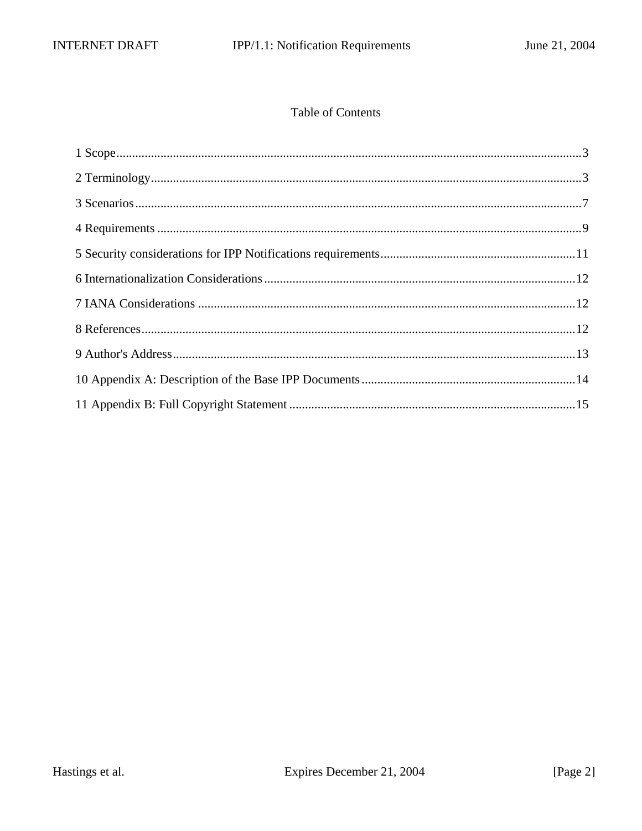# Table of Contents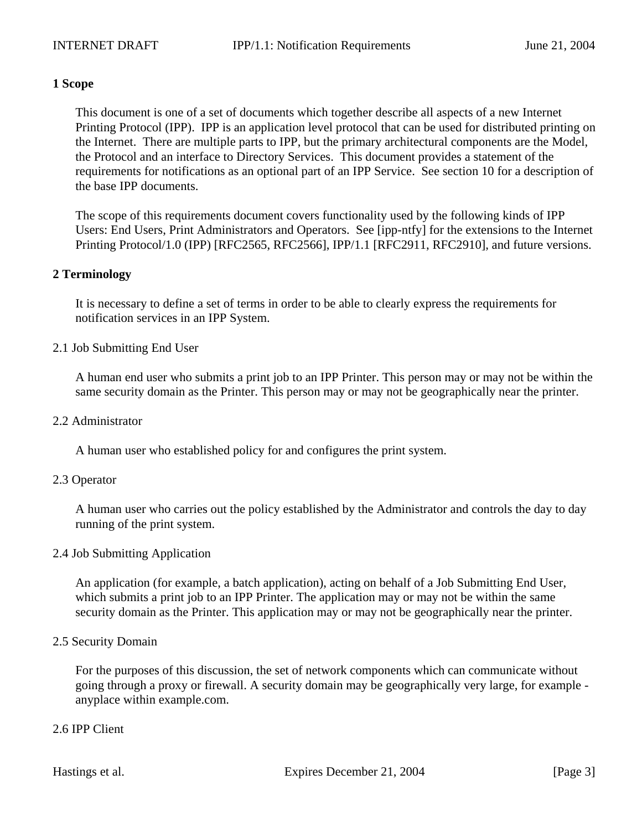## **1 Scope**

This document is one of a set of documents which together describe all aspects of a new Internet Printing Protocol (IPP). IPP is an application level protocol that can be used for distributed printing on the Internet. There are multiple parts to IPP, but the primary architectural components are the Model, the Protocol and an interface to Directory Services. This document provides a statement of the requirements for notifications as an optional part of an IPP Service. See section 10 for a description of the base IPP documents.

The scope of this requirements document covers functionality used by the following kinds of IPP Users: End Users, Print Administrators and Operators. See [ipp-ntfy] for the extensions to the Internet Printing Protocol/1.0 (IPP) [RFC2565, RFC2566], IPP/1.1 [RFC2911, RFC2910], and future versions.

#### **2 Terminology**

It is necessary to define a set of terms in order to be able to clearly express the requirements for notification services in an IPP System.

#### 2.1 Job Submitting End User

A human end user who submits a print job to an IPP Printer. This person may or may not be within the same security domain as the Printer. This person may or may not be geographically near the printer.

#### 2.2 Administrator

A human user who established policy for and configures the print system.

#### 2.3 Operator

A human user who carries out the policy established by the Administrator and controls the day to day running of the print system.

#### 2.4 Job Submitting Application

An application (for example, a batch application), acting on behalf of a Job Submitting End User, which submits a print job to an IPP Printer. The application may or may not be within the same security domain as the Printer. This application may or may not be geographically near the printer.

#### 2.5 Security Domain

For the purposes of this discussion, the set of network components which can communicate without going through a proxy or firewall. A security domain may be geographically very large, for example anyplace within example.com.

#### 2.6 IPP Client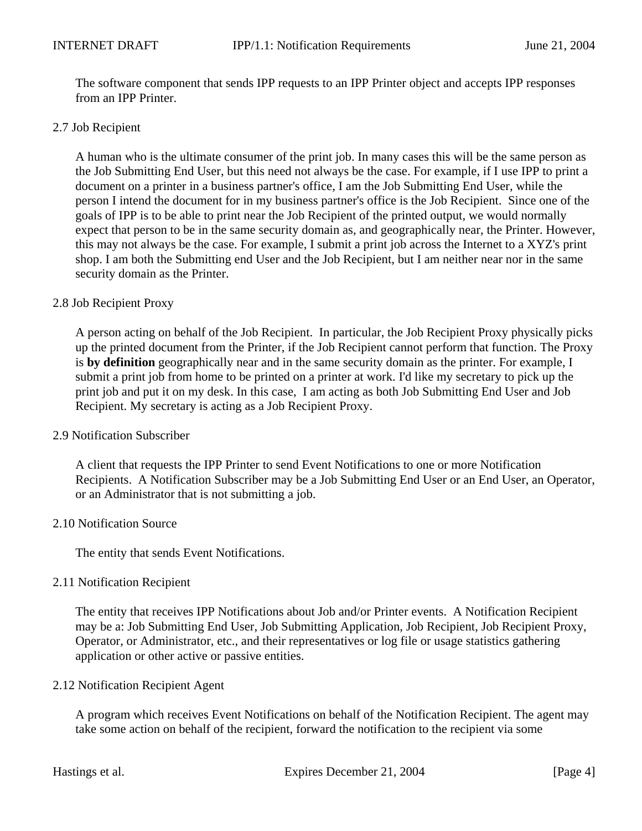The software component that sends IPP requests to an IPP Printer object and accepts IPP responses from an IPP Printer.

#### 2.7 Job Recipient

A human who is the ultimate consumer of the print job. In many cases this will be the same person as the Job Submitting End User, but this need not always be the case. For example, if I use IPP to print a document on a printer in a business partner's office, I am the Job Submitting End User, while the person I intend the document for in my business partner's office is the Job Recipient. Since one of the goals of IPP is to be able to print near the Job Recipient of the printed output, we would normally expect that person to be in the same security domain as, and geographically near, the Printer. However, this may not always be the case. For example, I submit a print job across the Internet to a XYZ's print shop. I am both the Submitting end User and the Job Recipient, but I am neither near nor in the same security domain as the Printer.

#### 2.8 Job Recipient Proxy

A person acting on behalf of the Job Recipient. In particular, the Job Recipient Proxy physically picks up the printed document from the Printer, if the Job Recipient cannot perform that function. The Proxy is **by definition** geographically near and in the same security domain as the printer. For example, I submit a print job from home to be printed on a printer at work. I'd like my secretary to pick up the print job and put it on my desk. In this case, I am acting as both Job Submitting End User and Job Recipient. My secretary is acting as a Job Recipient Proxy.

#### 2.9 Notification Subscriber

A client that requests the IPP Printer to send Event Notifications to one or more Notification Recipients. A Notification Subscriber may be a Job Submitting End User or an End User, an Operator, or an Administrator that is not submitting a job.

#### 2.10 Notification Source

The entity that sends Event Notifications.

#### 2.11 Notification Recipient

The entity that receives IPP Notifications about Job and/or Printer events. A Notification Recipient may be a: Job Submitting End User, Job Submitting Application, Job Recipient, Job Recipient Proxy, Operator, or Administrator, etc., and their representatives or log file or usage statistics gathering application or other active or passive entities.

#### 2.12 Notification Recipient Agent

A program which receives Event Notifications on behalf of the Notification Recipient. The agent may take some action on behalf of the recipient, forward the notification to the recipient via some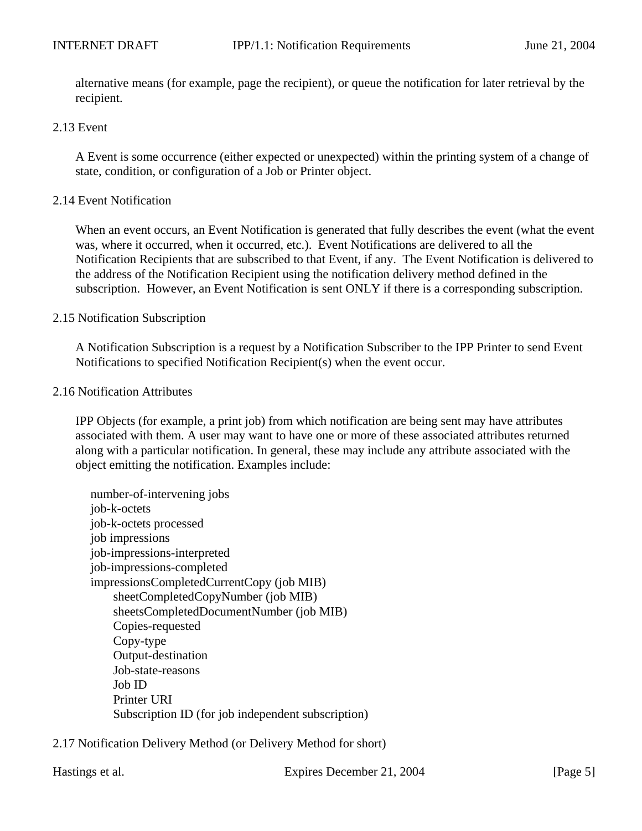alternative means (for example, page the recipient), or queue the notification for later retrieval by the recipient.

#### 2.13 Event

A Event is some occurrence (either expected or unexpected) within the printing system of a change of state, condition, or configuration of a Job or Printer object.

#### 2.14 Event Notification

When an event occurs, an Event Notification is generated that fully describes the event (what the event was, where it occurred, when it occurred, etc.). Event Notifications are delivered to all the Notification Recipients that are subscribed to that Event, if any. The Event Notification is delivered to the address of the Notification Recipient using the notification delivery method defined in the subscription. However, an Event Notification is sent ONLY if there is a corresponding subscription.

#### 2.15 Notification Subscription

A Notification Subscription is a request by a Notification Subscriber to the IPP Printer to send Event Notifications to specified Notification Recipient(s) when the event occur.

#### 2.16 Notification Attributes

IPP Objects (for example, a print job) from which notification are being sent may have attributes associated with them. A user may want to have one or more of these associated attributes returned along with a particular notification. In general, these may include any attribute associated with the object emitting the notification. Examples include:

number-of-intervening jobs job-k-octets job-k-octets processed job impressions job-impressions-interpreted job-impressions-completed impressionsCompletedCurrentCopy (job MIB) sheetCompletedCopyNumber (job MIB) sheetsCompletedDocumentNumber (job MIB) Copies-requested Copy-type Output-destination Job-state-reasons Job ID Printer URI Subscription ID (for job independent subscription)

2.17 Notification Delivery Method (or Delivery Method for short)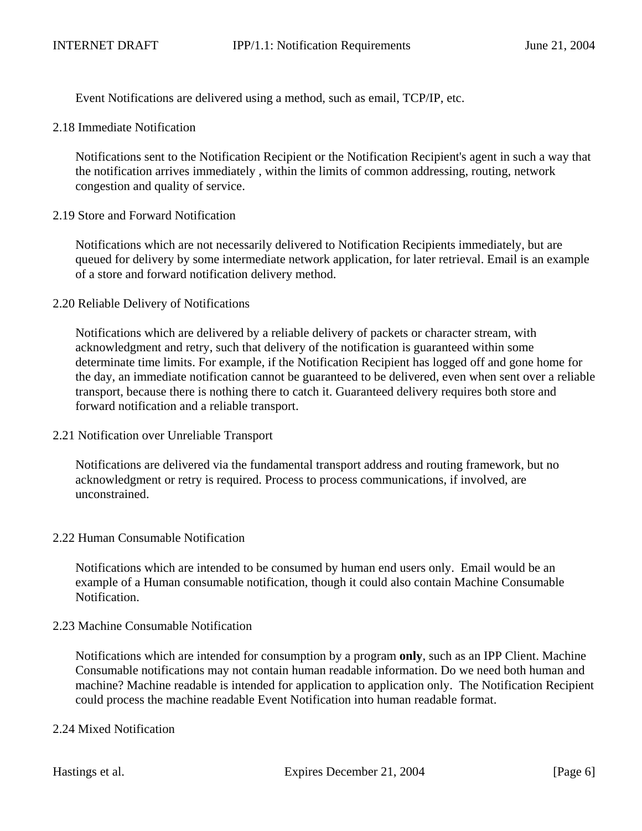Event Notifications are delivered using a method, such as email, TCP/IP, etc.

2.18 Immediate Notification

Notifications sent to the Notification Recipient or the Notification Recipient's agent in such a way that the notification arrives immediately , within the limits of common addressing, routing, network congestion and quality of service.

2.19 Store and Forward Notification

Notifications which are not necessarily delivered to Notification Recipients immediately, but are queued for delivery by some intermediate network application, for later retrieval. Email is an example of a store and forward notification delivery method.

2.20 Reliable Delivery of Notifications

Notifications which are delivered by a reliable delivery of packets or character stream, with acknowledgment and retry, such that delivery of the notification is guaranteed within some determinate time limits. For example, if the Notification Recipient has logged off and gone home for the day, an immediate notification cannot be guaranteed to be delivered, even when sent over a reliable transport, because there is nothing there to catch it. Guaranteed delivery requires both store and forward notification and a reliable transport.

2.21 Notification over Unreliable Transport

Notifications are delivered via the fundamental transport address and routing framework, but no acknowledgment or retry is required. Process to process communications, if involved, are unconstrained.

2.22 Human Consumable Notification

Notifications which are intended to be consumed by human end users only. Email would be an example of a Human consumable notification, though it could also contain Machine Consumable Notification.

2.23 Machine Consumable Notification

Notifications which are intended for consumption by a program **only**, such as an IPP Client. Machine Consumable notifications may not contain human readable information. Do we need both human and machine? Machine readable is intended for application to application only. The Notification Recipient could process the machine readable Event Notification into human readable format.

## 2.24 Mixed Notification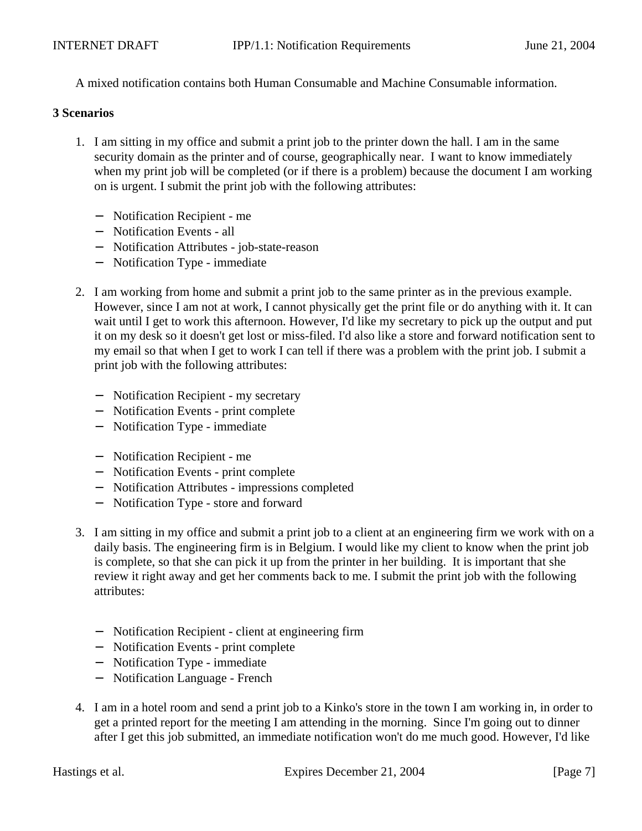A mixed notification contains both Human Consumable and Machine Consumable information.

#### **3 Scenarios**

- 1. I am sitting in my office and submit a print job to the printer down the hall. I am in the same security domain as the printer and of course, geographically near. I want to know immediately when my print job will be completed (or if there is a problem) because the document I am working on is urgent. I submit the print job with the following attributes:
	- − Notification Recipient me
	- − Notification Events all
	- − Notification Attributes job-state-reason
	- − Notification Type immediate
- 2. I am working from home and submit a print job to the same printer as in the previous example. However, since I am not at work, I cannot physically get the print file or do anything with it. It can wait until I get to work this afternoon. However, I'd like my secretary to pick up the output and put it on my desk so it doesn't get lost or miss-filed. I'd also like a store and forward notification sent to my email so that when I get to work I can tell if there was a problem with the print job. I submit a print job with the following attributes:
	- − Notification Recipient my secretary
	- − Notification Events print complete
	- − Notification Type immediate
	- − Notification Recipient me
	- − Notification Events print complete
	- − Notification Attributes impressions completed
	- − Notification Type store and forward
- 3. I am sitting in my office and submit a print job to a client at an engineering firm we work with on a daily basis. The engineering firm is in Belgium. I would like my client to know when the print job is complete, so that she can pick it up from the printer in her building. It is important that she review it right away and get her comments back to me. I submit the print job with the following attributes:
	- − Notification Recipient client at engineering firm
	- − Notification Events print complete
	- − Notification Type immediate
	- − Notification Language French
- 4. I am in a hotel room and send a print job to a Kinko's store in the town I am working in, in order to get a printed report for the meeting I am attending in the morning. Since I'm going out to dinner after I get this job submitted, an immediate notification won't do me much good. However, I'd like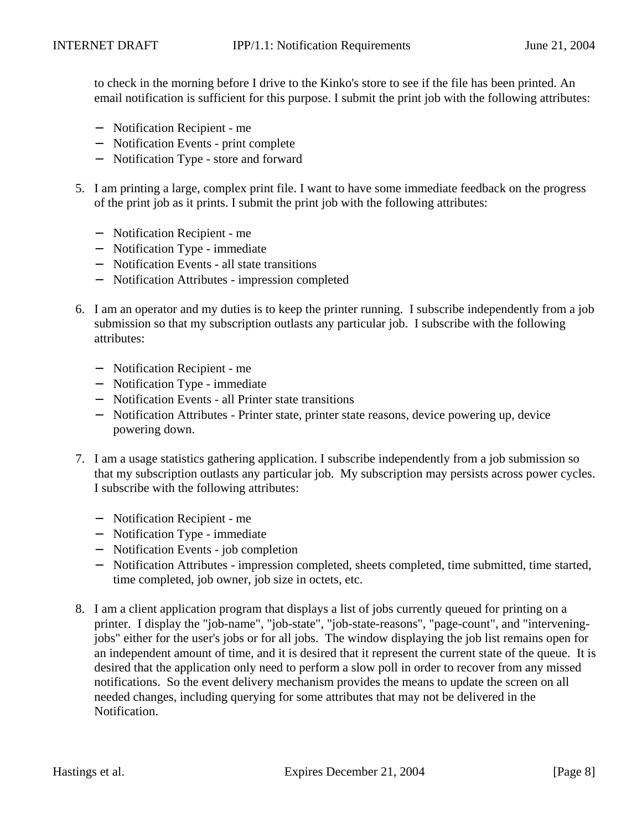to check in the morning before I drive to the Kinko's store to see if the file has been printed. An email notification is sufficient for this purpose. I submit the print job with the following attributes:

- − Notification Recipient me
- − Notification Events print complete
- − Notification Type store and forward
- 5. I am printing a large, complex print file. I want to have some immediate feedback on the progress of the print job as it prints. I submit the print job with the following attributes:
	- − Notification Recipient me
	- − Notification Type immediate
	- − Notification Events all state transitions
	- − Notification Attributes impression completed
- 6. I am an operator and my duties is to keep the printer running. I subscribe independently from a job submission so that my subscription outlasts any particular job. I subscribe with the following attributes:
	- − Notification Recipient me
	- − Notification Type immediate
	- − Notification Events all Printer state transitions
	- − Notification Attributes Printer state, printer state reasons, device powering up, device powering down.
- 7. I am a usage statistics gathering application. I subscribe independently from a job submission so that my subscription outlasts any particular job. My subscription may persists across power cycles. I subscribe with the following attributes:
	- − Notification Recipient me
	- − Notification Type immediate
	- − Notification Events job completion
	- − Notification Attributes impression completed, sheets completed, time submitted, time started, time completed, job owner, job size in octets, etc.
- 8. I am a client application program that displays a list of jobs currently queued for printing on a printer. I display the "job-name", "job-state", "job-state-reasons", "page-count", and "interveningjobs" either for the user's jobs or for all jobs. The window displaying the job list remains open for an independent amount of time, and it is desired that it represent the current state of the queue. It is desired that the application only need to perform a slow poll in order to recover from any missed notifications. So the event delivery mechanism provides the means to update the screen on all needed changes, including querying for some attributes that may not be delivered in the Notification.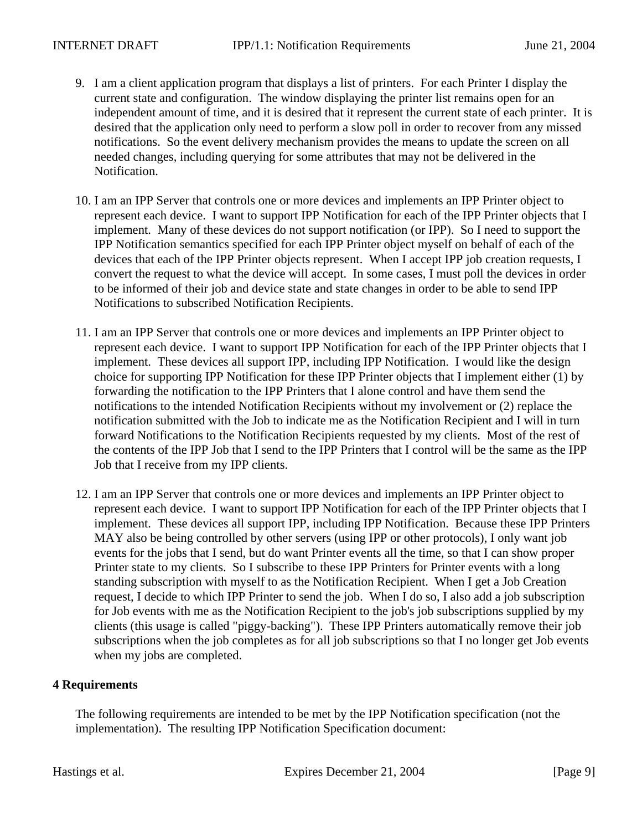- 9. I am a client application program that displays a list of printers. For each Printer I display the current state and configuration. The window displaying the printer list remains open for an independent amount of time, and it is desired that it represent the current state of each printer. It is desired that the application only need to perform a slow poll in order to recover from any missed notifications. So the event delivery mechanism provides the means to update the screen on all needed changes, including querying for some attributes that may not be delivered in the Notification.
- 10. I am an IPP Server that controls one or more devices and implements an IPP Printer object to represent each device. I want to support IPP Notification for each of the IPP Printer objects that I implement. Many of these devices do not support notification (or IPP). So I need to support the IPP Notification semantics specified for each IPP Printer object myself on behalf of each of the devices that each of the IPP Printer objects represent. When I accept IPP job creation requests, I convert the request to what the device will accept. In some cases, I must poll the devices in order to be informed of their job and device state and state changes in order to be able to send IPP Notifications to subscribed Notification Recipients.
- 11. I am an IPP Server that controls one or more devices and implements an IPP Printer object to represent each device. I want to support IPP Notification for each of the IPP Printer objects that I implement. These devices all support IPP, including IPP Notification. I would like the design choice for supporting IPP Notification for these IPP Printer objects that I implement either (1) by forwarding the notification to the IPP Printers that I alone control and have them send the notifications to the intended Notification Recipients without my involvement or (2) replace the notification submitted with the Job to indicate me as the Notification Recipient and I will in turn forward Notifications to the Notification Recipients requested by my clients. Most of the rest of the contents of the IPP Job that I send to the IPP Printers that I control will be the same as the IPP Job that I receive from my IPP clients.
- 12. I am an IPP Server that controls one or more devices and implements an IPP Printer object to represent each device. I want to support IPP Notification for each of the IPP Printer objects that I implement. These devices all support IPP, including IPP Notification. Because these IPP Printers MAY also be being controlled by other servers (using IPP or other protocols), I only want job events for the jobs that I send, but do want Printer events all the time, so that I can show proper Printer state to my clients. So I subscribe to these IPP Printers for Printer events with a long standing subscription with myself to as the Notification Recipient. When I get a Job Creation request, I decide to which IPP Printer to send the job. When I do so, I also add a job subscription for Job events with me as the Notification Recipient to the job's job subscriptions supplied by my clients (this usage is called "piggy-backing"). These IPP Printers automatically remove their job subscriptions when the job completes as for all job subscriptions so that I no longer get Job events when my jobs are completed.

## **4 Requirements**

The following requirements are intended to be met by the IPP Notification specification (not the implementation). The resulting IPP Notification Specification document: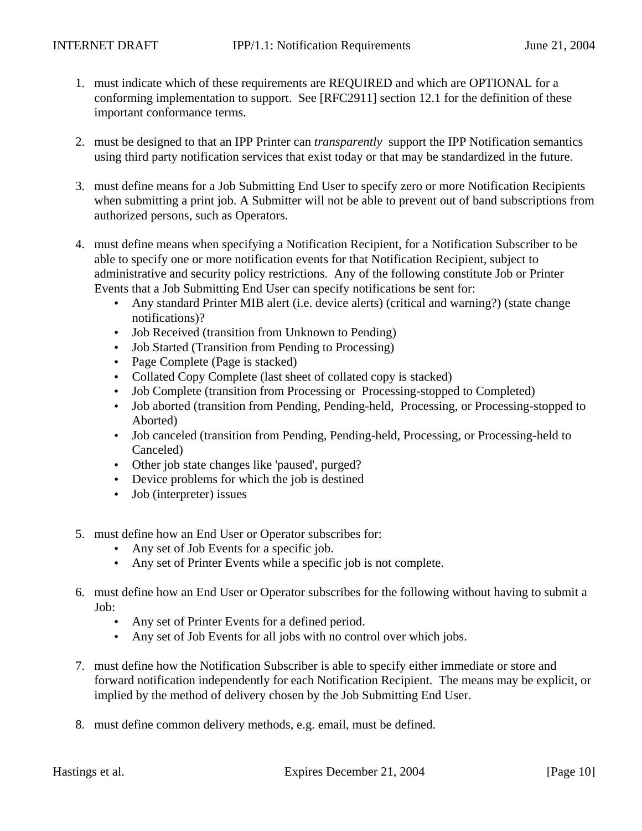- 1. must indicate which of these requirements are REQUIRED and which are OPTIONAL for a conforming implementation to support. See [RFC2911] section 12.1 for the definition of these important conformance terms.
- 2. must be designed to that an IPP Printer can *transparently* support the IPP Notification semantics using third party notification services that exist today or that may be standardized in the future.
- 3. must define means for a Job Submitting End User to specify zero or more Notification Recipients when submitting a print job. A Submitter will not be able to prevent out of band subscriptions from authorized persons, such as Operators.
- 4. must define means when specifying a Notification Recipient, for a Notification Subscriber to be able to specify one or more notification events for that Notification Recipient, subject to administrative and security policy restrictions. Any of the following constitute Job or Printer Events that a Job Submitting End User can specify notifications be sent for:
	- Any standard Printer MIB alert (i.e. device alerts) (critical and warning?) (state change notifications)?
	- Job Received (transition from Unknown to Pending)
	- Job Started (Transition from Pending to Processing)
	- Page Complete (Page is stacked)
	- Collated Copy Complete (last sheet of collated copy is stacked)
	- Job Complete (transition from Processing or Processing-stopped to Completed)
	- Job aborted (transition from Pending, Pending-held, Processing, or Processing-stopped to Aborted)
	- Job canceled (transition from Pending, Pending-held, Processing, or Processing-held to Canceled)
	- Other job state changes like 'paused', purged?
	- Device problems for which the job is destined
	- Job (interpreter) issues
- 5. must define how an End User or Operator subscribes for:
	- Any set of Job Events for a specific job.
	- Any set of Printer Events while a specific job is not complete.
- 6. must define how an End User or Operator subscribes for the following without having to submit a Job:
	- Any set of Printer Events for a defined period.
	- Any set of Job Events for all jobs with no control over which jobs.
- 7. must define how the Notification Subscriber is able to specify either immediate or store and forward notification independently for each Notification Recipient. The means may be explicit, or implied by the method of delivery chosen by the Job Submitting End User.
- 8. must define common delivery methods, e.g. email, must be defined.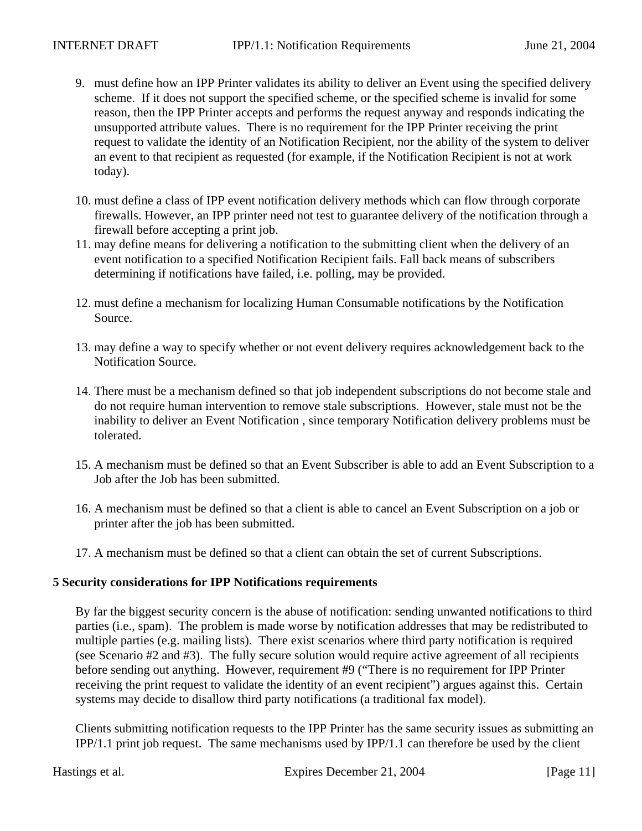- 9. must define how an IPP Printer validates its ability to deliver an Event using the specified delivery scheme. If it does not support the specified scheme, or the specified scheme is invalid for some reason, then the IPP Printer accepts and performs the request anyway and responds indicating the unsupported attribute values. There is no requirement for the IPP Printer receiving the print request to validate the identity of an Notification Recipient, nor the ability of the system to deliver an event to that recipient as requested (for example, if the Notification Recipient is not at work today).
- 10. must define a class of IPP event notification delivery methods which can flow through corporate firewalls. However, an IPP printer need not test to guarantee delivery of the notification through a firewall before accepting a print job.
- 11. may define means for delivering a notification to the submitting client when the delivery of an event notification to a specified Notification Recipient fails. Fall back means of subscribers determining if notifications have failed, i.e. polling, may be provided.
- 12. must define a mechanism for localizing Human Consumable notifications by the Notification Source.
- 13. may define a way to specify whether or not event delivery requires acknowledgement back to the Notification Source.
- 14. There must be a mechanism defined so that job independent subscriptions do not become stale and do not require human intervention to remove stale subscriptions. However, stale must not be the inability to deliver an Event Notification , since temporary Notification delivery problems must be tolerated.
- 15. A mechanism must be defined so that an Event Subscriber is able to add an Event Subscription to a Job after the Job has been submitted.
- 16. A mechanism must be defined so that a client is able to cancel an Event Subscription on a job or printer after the job has been submitted.
- 17. A mechanism must be defined so that a client can obtain the set of current Subscriptions.

#### **5 Security considerations for IPP Notifications requirements**

By far the biggest security concern is the abuse of notification: sending unwanted notifications to third parties (i.e., spam). The problem is made worse by notification addresses that may be redistributed to multiple parties (e.g. mailing lists). There exist scenarios where third party notification is required (see Scenario #2 and #3). The fully secure solution would require active agreement of all recipients before sending out anything. However, requirement #9 ("There is no requirement for IPP Printer receiving the print request to validate the identity of an event recipient") argues against this. Certain systems may decide to disallow third party notifications (a traditional fax model).

Clients submitting notification requests to the IPP Printer has the same security issues as submitting an IPP/1.1 print job request. The same mechanisms used by IPP/1.1 can therefore be used by the client

Hastings et al. Expires December 21, 2004 [Page 11]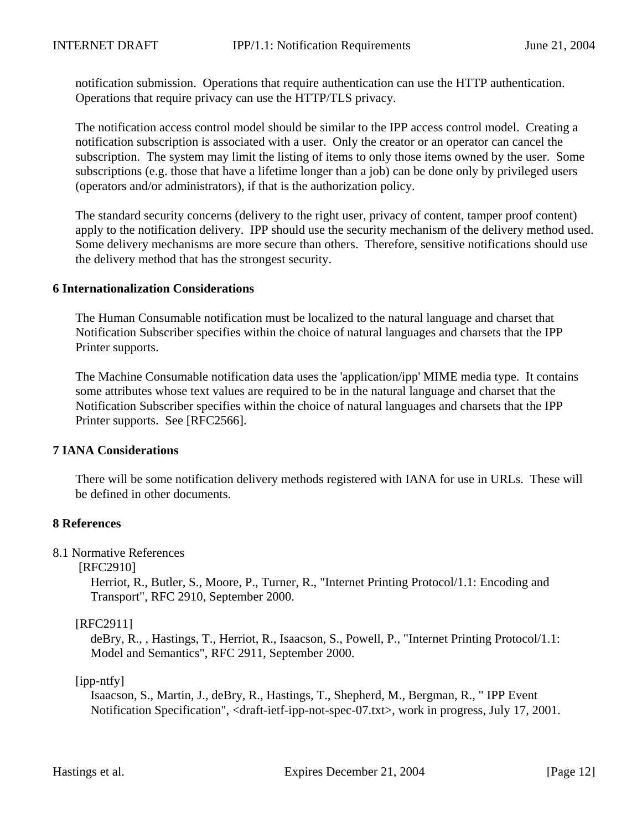notification submission. Operations that require authentication can use the HTTP authentication. Operations that require privacy can use the HTTP/TLS privacy.

The notification access control model should be similar to the IPP access control model. Creating a notification subscription is associated with a user. Only the creator or an operator can cancel the subscription. The system may limit the listing of items to only those items owned by the user. Some subscriptions (e.g. those that have a lifetime longer than a job) can be done only by privileged users (operators and/or administrators), if that is the authorization policy.

The standard security concerns (delivery to the right user, privacy of content, tamper proof content) apply to the notification delivery. IPP should use the security mechanism of the delivery method used. Some delivery mechanisms are more secure than others. Therefore, sensitive notifications should use the delivery method that has the strongest security.

#### **6 Internationalization Considerations**

The Human Consumable notification must be localized to the natural language and charset that Notification Subscriber specifies within the choice of natural languages and charsets that the IPP Printer supports.

The Machine Consumable notification data uses the 'application/ipp' MIME media type. It contains some attributes whose text values are required to be in the natural language and charset that the Notification Subscriber specifies within the choice of natural languages and charsets that the IPP Printer supports. See [RFC2566].

#### **7 IANA Considerations**

There will be some notification delivery methods registered with IANA for use in URLs. These will be defined in other documents.

#### **8 References**

#### 8.1 Normative References

#### [RFC2910]

Herriot, R., Butler, S., Moore, P., Turner, R., "Internet Printing Protocol/1.1: Encoding and Transport", RFC 2910, September 2000.

#### [RFC2911]

deBry, R., , Hastings, T., Herriot, R., Isaacson, S., Powell, P., "Internet Printing Protocol/1.1: Model and Semantics", RFC 2911, September 2000.

#### [ipp-ntfy]

Isaacson, S., Martin, J., deBry, R., Hastings, T., Shepherd, M., Bergman, R., " IPP Event Notification Specification", <draft-ietf-ipp-not-spec-07.txt>, work in progress, July 17, 2001.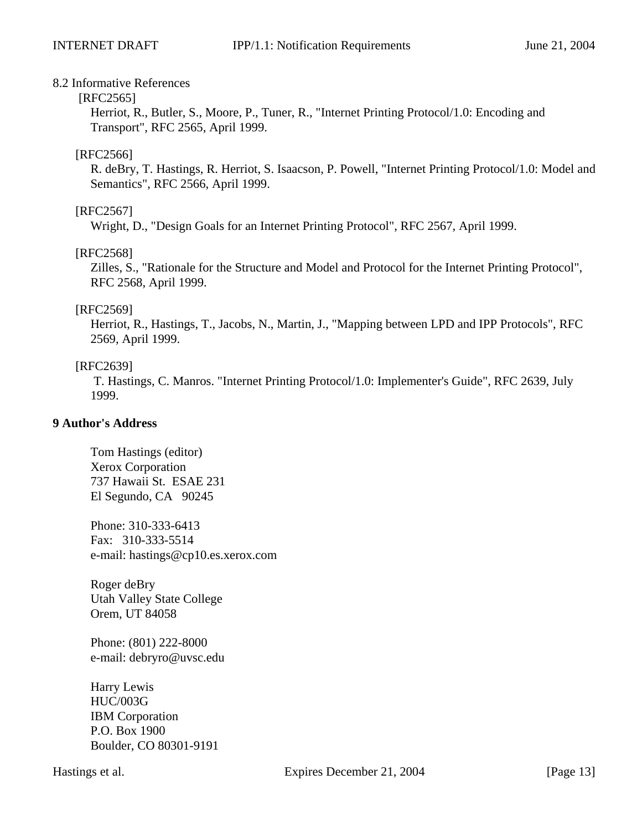#### 8.2 Informative References

#### [RFC2565]

Herriot, R., Butler, S., Moore, P., Tuner, R., "Internet Printing Protocol/1.0: Encoding and Transport", RFC 2565, April 1999.

## [RFC2566]

R. deBry, T. Hastings, R. Herriot, S. Isaacson, P. Powell, "Internet Printing Protocol/1.0: Model and Semantics", RFC 2566, April 1999.

## [RFC2567]

Wright, D., "Design Goals for an Internet Printing Protocol", RFC 2567, April 1999.

## [RFC2568]

Zilles, S., "Rationale for the Structure and Model and Protocol for the Internet Printing Protocol", RFC 2568, April 1999.

#### [RFC2569]

Herriot, R., Hastings, T., Jacobs, N., Martin, J., "Mapping between LPD and IPP Protocols", RFC 2569, April 1999.

## [RFC2639]

 T. Hastings, C. Manros. "Internet Printing Protocol/1.0: Implementer's Guide", RFC 2639, July 1999.

## **9 Author's Address**

Tom Hastings (editor) Xerox Corporation 737 Hawaii St. ESAE 231 El Segundo, CA 90245

Phone: 310-333-6413 Fax: 310-333-5514 e-mail: hastings@cp10.es.xerox.com

Roger deBry Utah Valley State College Orem, UT 84058

Phone: (801) 222-8000 e-mail: debryro@uvsc.edu

Harry Lewis HUC/003G IBM Corporation P.O. Box 1900 Boulder, CO 80301-9191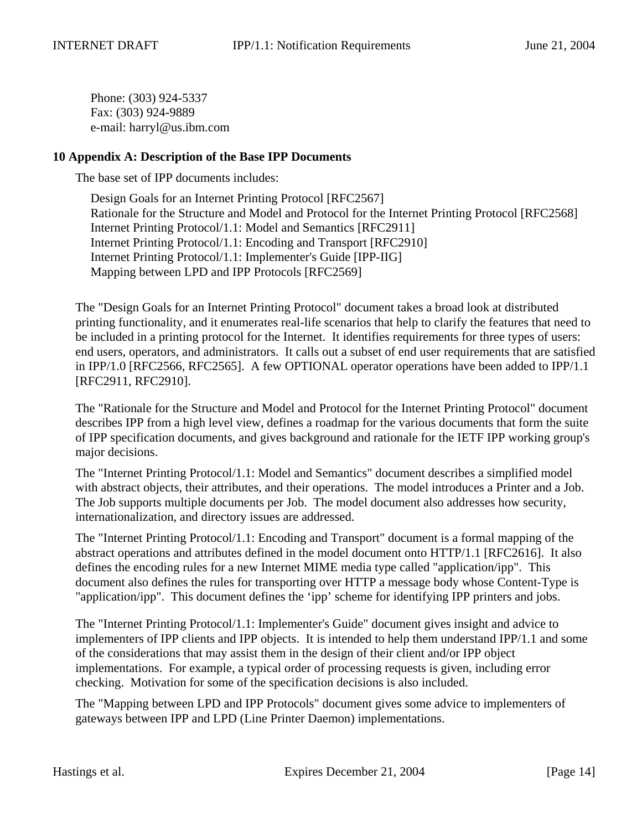Phone: (303) 924-5337 Fax: (303) 924-9889 e-mail: harryl@us.ibm.com

## **10 Appendix A: Description of the Base IPP Documents**

The base set of IPP documents includes:

Design Goals for an Internet Printing Protocol [RFC2567] Rationale for the Structure and Model and Protocol for the Internet Printing Protocol [RFC2568] Internet Printing Protocol/1.1: Model and Semantics [RFC2911] Internet Printing Protocol/1.1: Encoding and Transport [RFC2910] Internet Printing Protocol/1.1: Implementer's Guide [IPP-IIG] Mapping between LPD and IPP Protocols [RFC2569]

The "Design Goals for an Internet Printing Protocol" document takes a broad look at distributed printing functionality, and it enumerates real-life scenarios that help to clarify the features that need to be included in a printing protocol for the Internet. It identifies requirements for three types of users: end users, operators, and administrators. It calls out a subset of end user requirements that are satisfied in IPP/1.0 [RFC2566, RFC2565]. A few OPTIONAL operator operations have been added to IPP/1.1 [RFC2911, RFC2910].

The "Rationale for the Structure and Model and Protocol for the Internet Printing Protocol" document describes IPP from a high level view, defines a roadmap for the various documents that form the suite of IPP specification documents, and gives background and rationale for the IETF IPP working group's major decisions.

The "Internet Printing Protocol/1.1: Model and Semantics" document describes a simplified model with abstract objects, their attributes, and their operations. The model introduces a Printer and a Job. The Job supports multiple documents per Job. The model document also addresses how security, internationalization, and directory issues are addressed.

The "Internet Printing Protocol/1.1: Encoding and Transport" document is a formal mapping of the abstract operations and attributes defined in the model document onto HTTP/1.1 [RFC2616]. It also defines the encoding rules for a new Internet MIME media type called "application/ipp". This document also defines the rules for transporting over HTTP a message body whose Content-Type is "application/ipp". This document defines the 'ipp' scheme for identifying IPP printers and jobs.

The "Internet Printing Protocol/1.1: Implementer's Guide" document gives insight and advice to implementers of IPP clients and IPP objects. It is intended to help them understand IPP/1.1 and some of the considerations that may assist them in the design of their client and/or IPP object implementations. For example, a typical order of processing requests is given, including error checking. Motivation for some of the specification decisions is also included.

The "Mapping between LPD and IPP Protocols" document gives some advice to implementers of gateways between IPP and LPD (Line Printer Daemon) implementations.